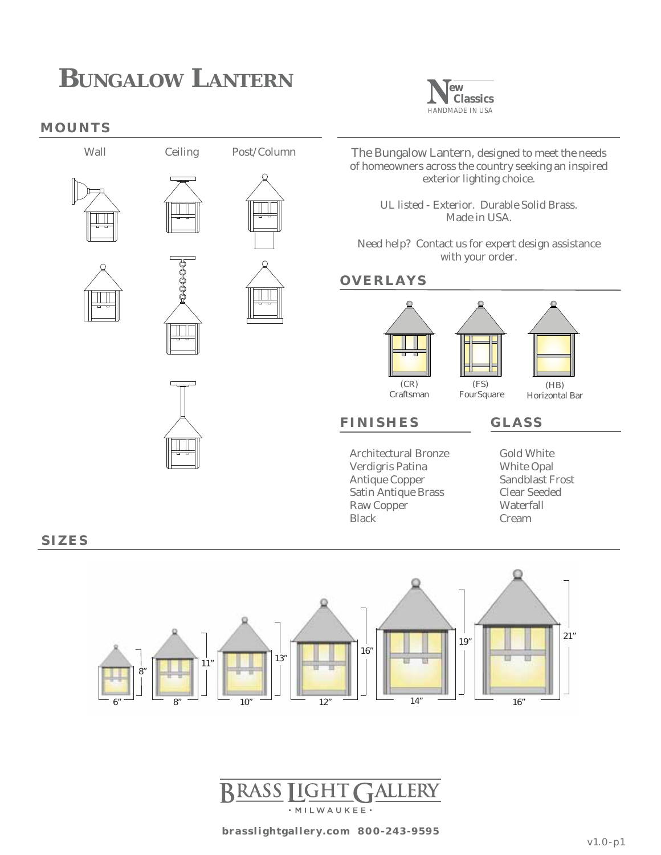#### **MOUNTS**











The Bungalow Lantern, designed to meet the needs of homeowners across the country seeking an inspired exterior lighting choice.

**ew Classics** HANDMADE IN USA

UL listed - Exterior. Durable Solid Brass. Made in USA.

Need help? Contact us for expert design assistance with your order.

#### **OVERLAYS**

**FINISHES**



#### **GLASS**

Architectural Bronze Verdigris Patina Antique Copper Satin Antique Brass Raw Copper Black

Gold White White Opal Sandblast Frost Clear Seeded Waterfall Cream

**SIZES**



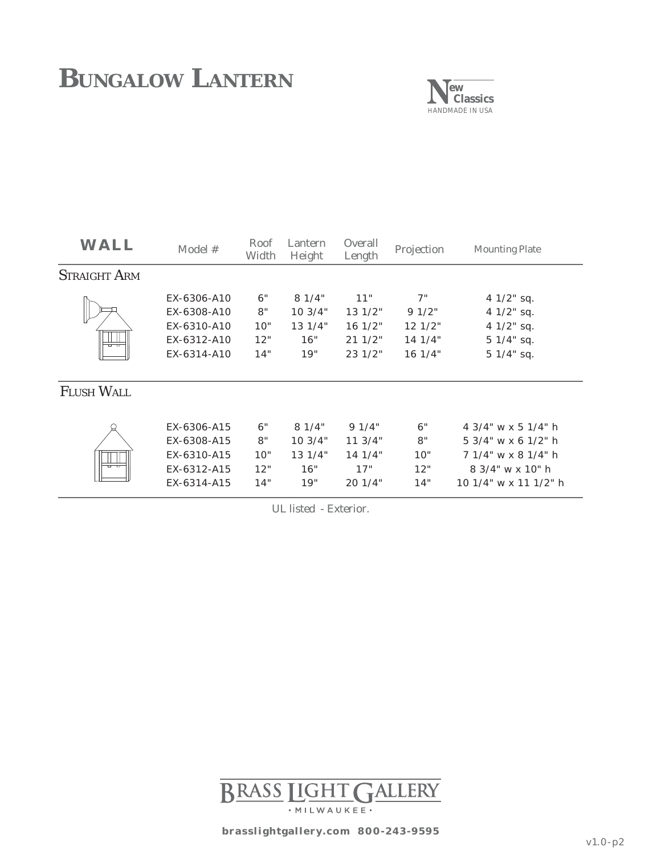

| WALL                | Model #     | Roof<br>Width | Lantern<br>Height | Overall<br>Length | Projection | <b>Mounting Plate</b>  |
|---------------------|-------------|---------------|-------------------|-------------------|------------|------------------------|
| <b>STRAIGHT ARM</b> |             |               |                   |                   |            |                        |
|                     | EX-6306-A10 | 6"            | 81/4"             | 11"               | 7"         | $41/2$ " sq.           |
|                     | EX-6308-A10 | 8"            | 10.3/4"           | 131/2"            | 91/2"      | $41/2$ " sq.           |
|                     | EX-6310-A10 | 10"           | 131/4"            | 16 1/2"           | 121/2"     | $41/2$ " sq.           |
|                     | EX-6312-A10 | 12"           | 16"               | 211/2"            | 14.1/4"    | $51/4"$ sq.            |
|                     | EX-6314-A10 | 14"           | 19"               | 23 1/2"           | 161/4"     | 5 1/4" sq.             |
| <b>FLUSH WALL</b>   |             |               |                   |                   |            |                        |
|                     | EX-6306-A15 | 6"            | 81/4"             | 91/4"             | 6"         | 4 3/4" w x 5 1/4" h    |
|                     | EX-6308-A15 | 8"            | 10.3/4"           | 113/4"            | 8"         | $5.3/4$ " w x 6 1/2" h |
|                     | EX-6310-A15 | 10"           | 131/4"            | 14.1/4"           | 10"        | 7 1/4" w x 8 1/4" h    |
|                     | EX-6312-A15 | 12"           | 16"               | 17"               | 12"        | $8.3/4$ " w x 10" h    |
|                     | EX-6314-A15 | 14"           | 19"               | 201/4"            | 14"        | 10 1/4" w x 11 1/2" h  |

UL listed - Exterior.

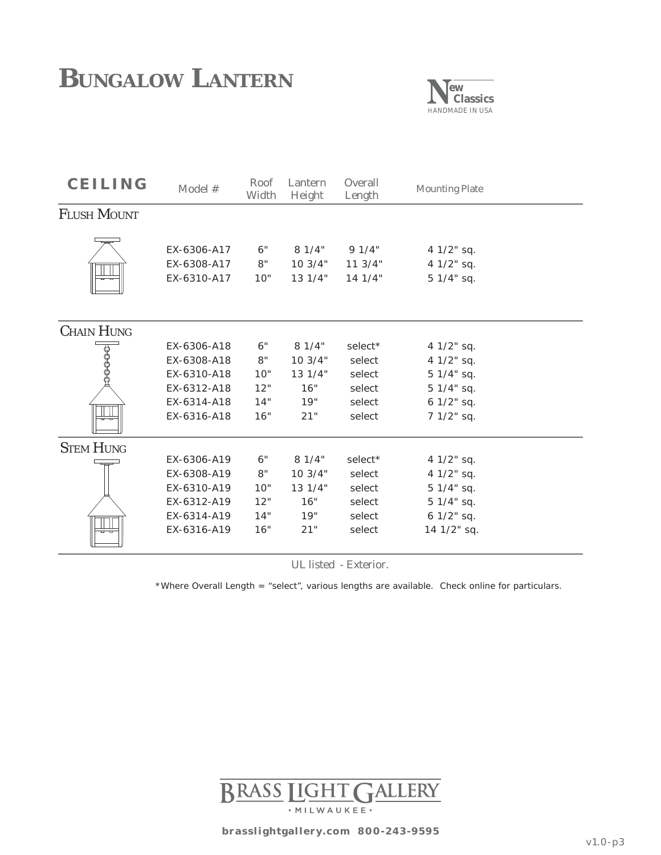

| <b>CEILING</b>     | Model #                                   | Roof<br>Width   | Lantern<br>Height         | Overall<br>Length                      | <b>Mounting Plate</b>                  |  |
|--------------------|-------------------------------------------|-----------------|---------------------------|----------------------------------------|----------------------------------------|--|
| <b>FLUSH MOUNT</b> |                                           |                 |                           |                                        |                                        |  |
|                    | EX-6306-A17<br>EX-6308-A17<br>EX-6310-A17 | 6"<br>8"<br>10" | 81/4"<br>103/4"<br>131/4" | 91/4"<br>$11 \frac{3}{4}$ "<br>14.1/4" | 4 1/2" sq.<br>4 1/2" sq.<br>5 1/4" sq. |  |
| <b>CHAIN HUNG</b>  |                                           |                 |                           |                                        |                                        |  |
|                    | EX-6306-A18                               | 6"              | 81/4"                     | select*                                | 4 1/2" sq.                             |  |
|                    | EX-6308-A18                               | 8"              | 10 3/4"                   | select                                 | 4 1/2" sq.                             |  |
|                    | EX-6310-A18                               | 10"             | 13 1/4"                   | select                                 | $51/4"$ sq.                            |  |
|                    | EX-6312-A18                               | 12"             | 16"                       | select                                 | 5 1/4" sq.                             |  |
|                    | EX-6314-A18                               | 14"             | 19"                       | select                                 | 6 1/2" sq.                             |  |
|                    | EX-6316-A18                               | 16"             | 21"                       | select                                 | 7 1/2" sq.                             |  |
| <b>STEM HUNG</b>   |                                           |                 |                           |                                        |                                        |  |
|                    | EX-6306-A19                               | 6"              | 81/4"                     | select*                                | 4 1/2" sq.                             |  |
|                    | EX-6308-A19                               | 8"              | 10 3/4"                   | select                                 | 4 1/2" sq.                             |  |
|                    | EX-6310-A19                               | 10"             | 13 1/4"                   | select                                 | 5 1/4" sq.                             |  |
|                    | EX-6312-A19                               | 12"             | 16"                       | select                                 | 5 1/4" sq.                             |  |
|                    | EX-6314-A19                               | 14"             | 19"                       | select                                 | 6 1/2" sq.                             |  |
|                    | EX-6316-A19                               | 16"             | 21"                       | select                                 | 14 1/2" sq.                            |  |

UL listed - Exterior.

\*Where Overall Length = "select", various lengths are available. Check online for particulars.